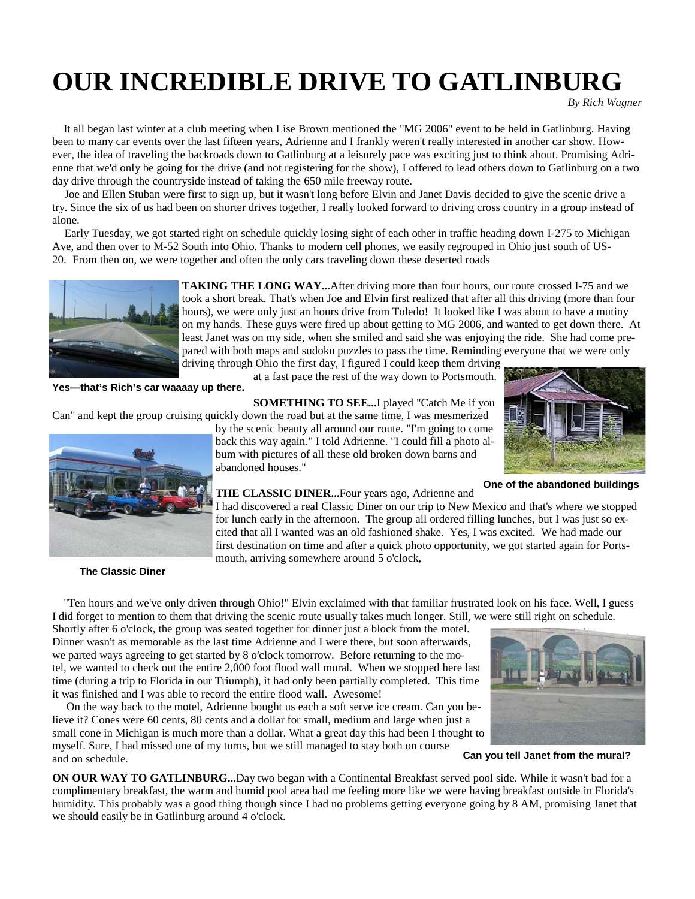# **OUR INCREDIBLE DRIVE TO GATLINBURG**

*By Rich Wagner* 

 It all began last winter at a club meeting when Lise Brown mentioned the "MG 2006" event to be held in Gatlinburg. Having been to many car events over the last fifteen years, Adrienne and I frankly weren't really interested in another car show. However, the idea of traveling the backroads down to Gatlinburg at a leisurely pace was exciting just to think about. Promising Adrienne that we'd only be going for the drive (and not registering for the show), I offered to lead others down to Gatlinburg on a two day drive through the countryside instead of taking the 650 mile freeway route.

 Joe and Ellen Stuban were first to sign up, but it wasn't long before Elvin and Janet Davis decided to give the scenic drive a try. Since the six of us had been on shorter drives together, I really looked forward to driving cross country in a group instead of alone.

 Early Tuesday, we got started right on schedule quickly losing sight of each other in traffic heading down I-275 to Michigan Ave, and then over to M-52 South into Ohio. Thanks to modern cell phones, we easily regrouped in Ohio just south of US-20. From then on, we were together and often the only cars traveling down these deserted roads



**TAKING THE LONG WAY...**After driving more than four hours, our route crossed I-75 and we took a short break. That's when Joe and Elvin first realized that after all this driving (more than four hours), we were only just an hours drive from Toledo! It looked like I was about to have a mutiny on my hands. These guys were fired up about getting to MG 2006, and wanted to get down there. At least Janet was on my side, when she smiled and said she was enjoying the ride. She had come prepared with both maps and sudoku puzzles to pass the time. Reminding everyone that we were only driving through Ohio the first day, I figured I could keep them driving

at a fast pace the rest of the way down to Portsmouth.

**Yes—that's Rich's car waaaay up there.** 

**SOMETHING TO SEE...**I played "Catch Me if you

Can" and kept the group cruising quickly down the road but at the same time, I was mesmerized



**The Classic Diner** 

by the scenic beauty all around our route. "I'm going to come back this way again." I told Adrienne. "I could fill a photo album with pictures of all these old broken down barns and abandoned houses."

**One of the abandoned buildings** 

**THE CLASSIC DINER...**Four years ago, Adrienne and I had discovered a real Classic Diner on our trip to New Mexico and that's where we stopped

for lunch early in the afternoon. The group all ordered filling lunches, but I was just so excited that all I wanted was an old fashioned shake. Yes, I was excited. We had made our first destination on time and after a quick photo opportunity, we got started again for Portsmouth, arriving somewhere around 5 o'clock,

 "Ten hours and we've only driven through Ohio!" Elvin exclaimed with that familiar frustrated look on his face. Well, I guess I did forget to mention to them that driving the scenic route usually takes much longer. Still, we were still right on schedule. Shortly after 6 o'clock, the group was seated together for dinner just a block from the motel.

Dinner wasn't as memorable as the last time Adrienne and I were there, but soon afterwards, we parted ways agreeing to get started by 8 o'clock tomorrow. Before returning to the motel, we wanted to check out the entire 2,000 foot flood wall mural. When we stopped here last time (during a trip to Florida in our Triumph), it had only been partially completed. This time it was finished and I was able to record the entire flood wall. Awesome!

 On the way back to the motel, Adrienne bought us each a soft serve ice cream. Can you believe it? Cones were 60 cents, 80 cents and a dollar for small, medium and large when just a small cone in Michigan is much more than a dollar. What a great day this had been I thought to myself. Sure, I had missed one of my turns, but we still managed to stay both on course and on schedule.

**Can you tell Janet from the mural?** 

**ON OUR WAY TO GATLINBURG...**Day two began with a Continental Breakfast served pool side. While it wasn't bad for a complimentary breakfast, the warm and humid pool area had me feeling more like we were having breakfast outside in Florida's humidity. This probably was a good thing though since I had no problems getting everyone going by 8 AM, promising Janet that we should easily be in Gatlinburg around 4 o'clock.

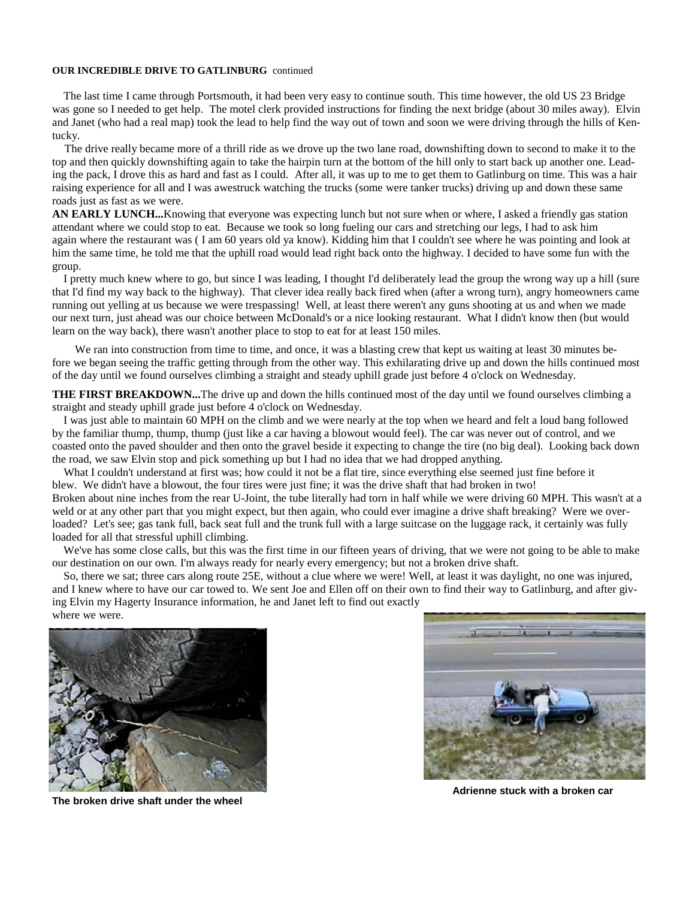#### **OUR INCREDIBLE DRIVE TO GATLINBURG** continued

 The last time I came through Portsmouth, it had been very easy to continue south. This time however, the old US 23 Bridge was gone so I needed to get help. The motel clerk provided instructions for finding the next bridge (about 30 miles away). Elvin and Janet (who had a real map) took the lead to help find the way out of town and soon we were driving through the hills of Kentucky.

 The drive really became more of a thrill ride as we drove up the two lane road, downshifting down to second to make it to the top and then quickly downshifting again to take the hairpin turn at the bottom of the hill only to start back up another one. Leading the pack, I drove this as hard and fast as I could. After all, it was up to me to get them to Gatlinburg on time. This was a hair raising experience for all and I was awestruck watching the trucks (some were tanker trucks) driving up and down these same roads just as fast as we were.

**AN EARLY LUNCH...**Knowing that everyone was expecting lunch but not sure when or where, I asked a friendly gas station attendant where we could stop to eat. Because we took so long fueling our cars and stretching our legs, I had to ask him again where the restaurant was ( I am 60 years old ya know). Kidding him that I couldn't see where he was pointing and look at him the same time, he told me that the uphill road would lead right back onto the highway. I decided to have some fun with the group.

 I pretty much knew where to go, but since I was leading, I thought I'd deliberately lead the group the wrong way up a hill (sure that I'd find my way back to the highway). That clever idea really back fired when (after a wrong turn), angry homeowners came running out yelling at us because we were trespassing! Well, at least there weren't any guns shooting at us and when we made our next turn, just ahead was our choice between McDonald's or a nice looking restaurant. What I didn't know then (but would learn on the way back), there wasn't another place to stop to eat for at least 150 miles.

 We ran into construction from time to time, and once, it was a blasting crew that kept us waiting at least 30 minutes before we began seeing the traffic getting through from the other way. This exhilarating drive up and down the hills continued most of the day until we found ourselves climbing a straight and steady uphill grade just before 4 o'clock on Wednesday.

THE FIRST BREAKDOWN...The drive up and down the hills continued most of the day until we found ourselves climbing a straight and steady uphill grade just before 4 o'clock on Wednesday.

 I was just able to maintain 60 MPH on the climb and we were nearly at the top when we heard and felt a loud bang followed by the familiar thump, thump, thump (just like a car having a blowout would feel). The car was never out of control, and we coasted onto the paved shoulder and then onto the gravel beside it expecting to change the tire (no big deal). Looking back down the road, we saw Elvin stop and pick something up but I had no idea that we had dropped anything.

 What I couldn't understand at first was; how could it not be a flat tire, since everything else seemed just fine before it blew. We didn't have a blowout, the four tires were just fine; it was the drive shaft that had broken in two! Broken about nine inches from the rear U-Joint, the tube literally had torn in half while we were driving 60 MPH. This wasn't at a weld or at any other part that you might expect, but then again, who could ever imagine a drive shaft breaking? Were we overloaded? Let's see; gas tank full, back seat full and the trunk full with a large suitcase on the luggage rack, it certainly was fully loaded for all that stressful uphill climbing.

 We've has some close calls, but this was the first time in our fifteen years of driving, that we were not going to be able to make our destination on our own. I'm always ready for nearly every emergency; but not a broken drive shaft.

 So, there we sat; three cars along route 25E, without a clue where we were! Well, at least it was daylight, no one was injured, and I knew where to have our car towed to. We sent Joe and Ellen off on their own to find their way to Gatlinburg, and after giving Elvin my Hagerty Insurance information, he and Janet left to find out exactly where we were.



**The broken drive shaft under the wheel** 



**Adrienne stuck with a broken car**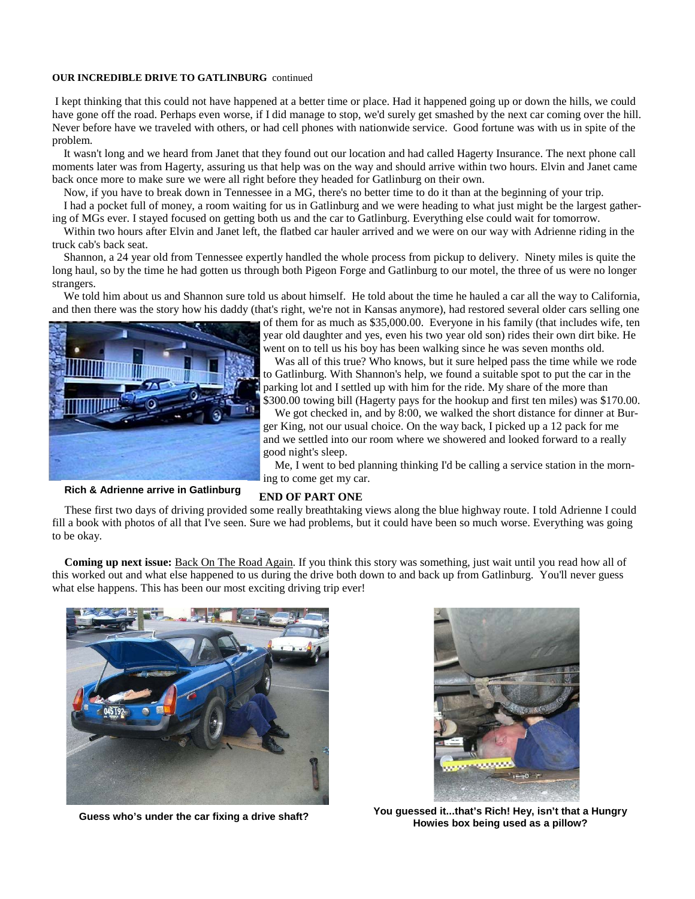#### **OUR INCREDIBLE DRIVE TO GATLINBURG** continued

 I kept thinking that this could not have happened at a better time or place. Had it happened going up or down the hills, we could have gone off the road. Perhaps even worse, if I did manage to stop, we'd surely get smashed by the next car coming over the hill. Never before have we traveled with others, or had cell phones with nationwide service. Good fortune was with us in spite of the problem.

 It wasn't long and we heard from Janet that they found out our location and had called Hagerty Insurance. The next phone call moments later was from Hagerty, assuring us that help was on the way and should arrive within two hours. Elvin and Janet came back once more to make sure we were all right before they headed for Gatlinburg on their own.

Now, if you have to break down in Tennessee in a MG, there's no better time to do it than at the beginning of your trip.

 I had a pocket full of money, a room waiting for us in Gatlinburg and we were heading to what just might be the largest gathering of MGs ever. I stayed focused on getting both us and the car to Gatlinburg. Everything else could wait for tomorrow.

 Within two hours after Elvin and Janet left, the flatbed car hauler arrived and we were on our way with Adrienne riding in the truck cab's back seat.

 Shannon, a 24 year old from Tennessee expertly handled the whole process from pickup to delivery. Ninety miles is quite the long haul, so by the time he had gotten us through both Pigeon Forge and Gatlinburg to our motel, the three of us were no longer strangers.

We told him about us and Shannon sure told us about himself. He told about the time he hauled a car all the way to California, and then there was the story how his daddy (that's right, we're not in Kansas anymore), had restored several older cars selling one



of them for as much as \$35,000.00. Everyone in his family (that includes wife, ten year old daughter and yes, even his two year old son) rides their own dirt bike. He went on to tell us his boy has been walking since he was seven months old.

 Was all of this true? Who knows, but it sure helped pass the time while we rode to Gatlinburg. With Shannon's help, we found a suitable spot to put the car in the parking lot and I settled up with him for the ride. My share of the more than \$300.00 towing bill (Hagerty pays for the hookup and first ten miles) was \$170.00.

 We got checked in, and by 8:00, we walked the short distance for dinner at Burger King, not our usual choice. On the way back, I picked up a 12 pack for me and we settled into our room where we showered and looked forward to a really good night's sleep.

 Me, I went to bed planning thinking I'd be calling a service station in the morning to come get my car.

**Rich & Adrienne arrive in Gatlinburg** 

### **END OF PART ONE**

 These first two days of driving provided some really breathtaking views along the blue highway route. I told Adrienne I could fill a book with photos of all that I've seen. Sure we had problems, but it could have been so much worse. Everything was going to be okay.

 **Coming up next issue:** Back On The Road Again. If you think this story was something, just wait until you read how all of this worked out and what else happened to us during the drive both down to and back up from Gatlinburg. You'll never guess what else happens. This has been our most exciting driving trip ever!





**Guess who's under the car fixing a drive shaft? You guessed it...that's Rich! Hey, isn't that a Hungry Howies box being used as a pillow?**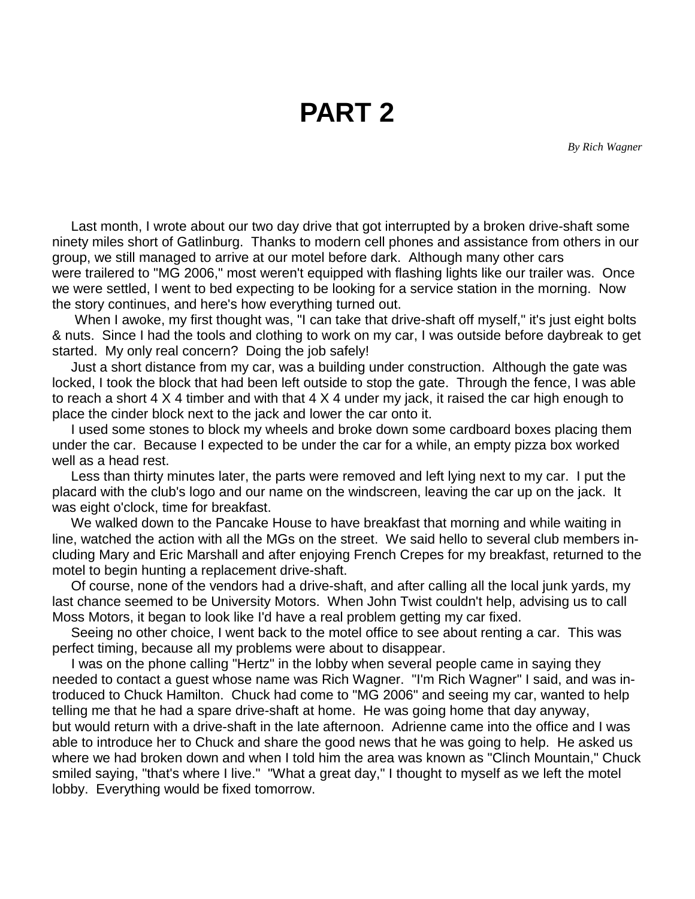**PART 2** 

*By Rich Wagner*

 Last month, I wrote about our two day drive that got interrupted by a broken drive-shaft some ninety miles short of Gatlinburg. Thanks to modern cell phones and assistance from others in our group, we still managed to arrive at our motel before dark. Although many other cars were trailered to "MG 2006," most weren't equipped with flashing lights like our trailer was. Once we were settled, I went to bed expecting to be looking for a service station in the morning. Now the story continues, and here's how everything turned out.

When I awoke, my first thought was, "I can take that drive-shaft off myself," it's just eight bolts & nuts. Since I had the tools and clothing to work on my car, I was outside before daybreak to get started. My only real concern? Doing the job safely!

 Just a short distance from my car, was a building under construction. Although the gate was locked, I took the block that had been left outside to stop the gate. Through the fence, I was able to reach a short 4 X 4 timber and with that 4 X 4 under my jack, it raised the car high enough to place the cinder block next to the jack and lower the car onto it.

 I used some stones to block my wheels and broke down some cardboard boxes placing them under the car. Because I expected to be under the car for a while, an empty pizza box worked well as a head rest.

 Less than thirty minutes later, the parts were removed and left lying next to my car. I put the placard with the club's logo and our name on the windscreen, leaving the car up on the jack. It was eight o'clock, time for breakfast.

 We walked down to the Pancake House to have breakfast that morning and while waiting in line, watched the action with all the MGs on the street. We said hello to several club members including Mary and Eric Marshall and after enjoying French Crepes for my breakfast, returned to the motel to begin hunting a replacement drive-shaft.

 Of course, none of the vendors had a drive-shaft, and after calling all the local junk yards, my last chance seemed to be University Motors. When John Twist couldn't help, advising us to call Moss Motors, it began to look like I'd have a real problem getting my car fixed.

 Seeing no other choice, I went back to the motel office to see about renting a car. This was perfect timing, because all my problems were about to disappear.

 I was on the phone calling "Hertz" in the lobby when several people came in saying they needed to contact a guest whose name was Rich Wagner. "I'm Rich Wagner" I said, and was introduced to Chuck Hamilton. Chuck had come to "MG 2006" and seeing my car, wanted to help telling me that he had a spare drive-shaft at home. He was going home that day anyway, but would return with a drive-shaft in the late afternoon. Adrienne came into the office and I was able to introduce her to Chuck and share the good news that he was going to help. He asked us where we had broken down and when I told him the area was known as "Clinch Mountain," Chuck smiled saying, "that's where I live." "What a great day," I thought to myself as we left the motel lobby. Everything would be fixed tomorrow.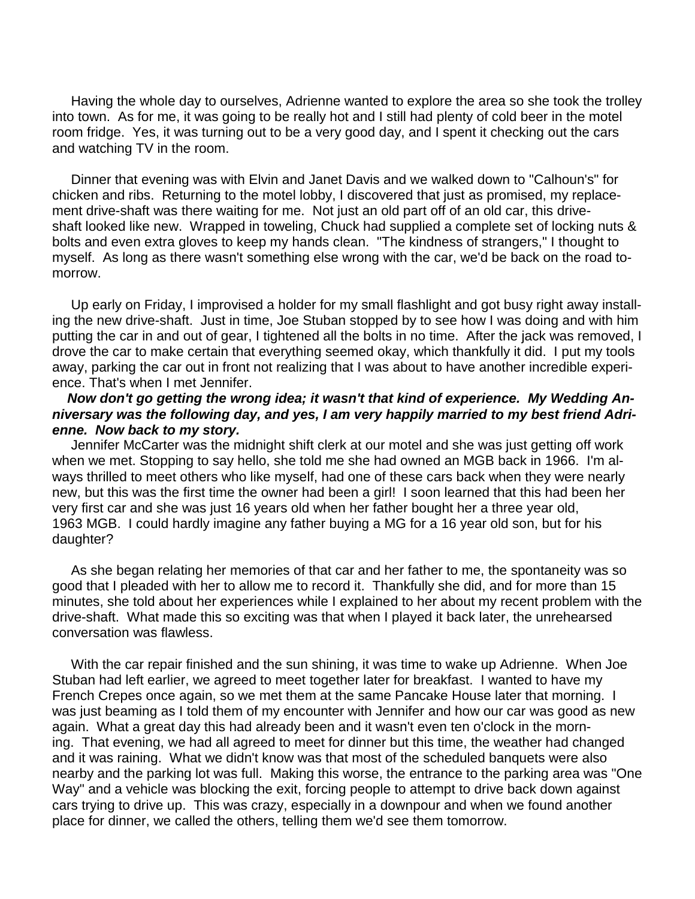Having the whole day to ourselves, Adrienne wanted to explore the area so she took the trolley into town. As for me, it was going to be really hot and I still had plenty of cold beer in the motel room fridge. Yes, it was turning out to be a very good day, and I spent it checking out the cars and watching TV in the room.

 Dinner that evening was with Elvin and Janet Davis and we walked down to "Calhoun's" for chicken and ribs. Returning to the motel lobby, I discovered that just as promised, my replacement drive-shaft was there waiting for me. Not just an old part off of an old car, this driveshaft looked like new. Wrapped in toweling, Chuck had supplied a complete set of locking nuts & bolts and even extra gloves to keep my hands clean. "The kindness of strangers," I thought to myself. As long as there wasn't something else wrong with the car, we'd be back on the road tomorrow.

 Up early on Friday, I improvised a holder for my small flashlight and got busy right away installing the new drive-shaft. Just in time, Joe Stuban stopped by to see how I was doing and with him putting the car in and out of gear, I tightened all the bolts in no time. After the jack was removed, I drove the car to make certain that everything seemed okay, which thankfully it did. I put my tools away, parking the car out in front not realizing that I was about to have another incredible experience. That's when I met Jennifer.

# *Now don't go getting the wrong idea; it wasn't that kind of experience. My Wedding Anniversary was the following day, and yes, I am very happily married to my best friend Adrienne. Now back to my story.*

 Jennifer McCarter was the midnight shift clerk at our motel and she was just getting off work when we met. Stopping to say hello, she told me she had owned an MGB back in 1966. I'm always thrilled to meet others who like myself, had one of these cars back when they were nearly new, but this was the first time the owner had been a girl! I soon learned that this had been her very first car and she was just 16 years old when her father bought her a three year old, 1963 MGB. I could hardly imagine any father buying a MG for a 16 year old son, but for his daughter?

 As she began relating her memories of that car and her father to me, the spontaneity was so good that I pleaded with her to allow me to record it. Thankfully she did, and for more than 15 minutes, she told about her experiences while I explained to her about my recent problem with the drive-shaft. What made this so exciting was that when I played it back later, the unrehearsed conversation was flawless.

 With the car repair finished and the sun shining, it was time to wake up Adrienne. When Joe Stuban had left earlier, we agreed to meet together later for breakfast. I wanted to have my French Crepes once again, so we met them at the same Pancake House later that morning. I was just beaming as I told them of my encounter with Jennifer and how our car was good as new again. What a great day this had already been and it wasn't even ten o'clock in the morning. That evening, we had all agreed to meet for dinner but this time, the weather had changed and it was raining. What we didn't know was that most of the scheduled banquets were also nearby and the parking lot was full. Making this worse, the entrance to the parking area was "One Way" and a vehicle was blocking the exit, forcing people to attempt to drive back down against cars trying to drive up. This was crazy, especially in a downpour and when we found another place for dinner, we called the others, telling them we'd see them tomorrow.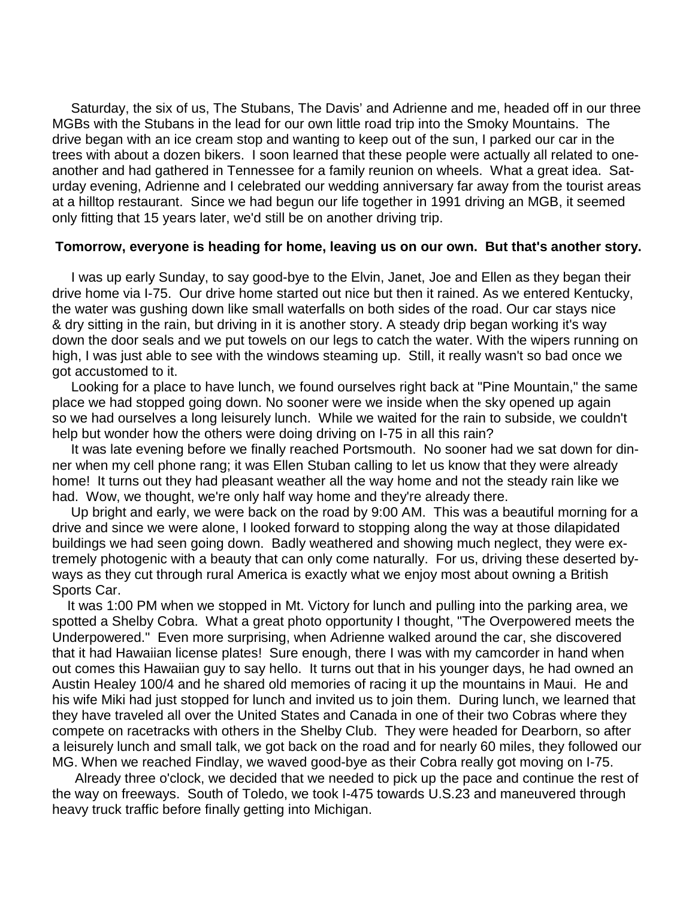Saturday, the six of us, The Stubans, The Davis' and Adrienne and me, headed off in our three MGBs with the Stubans in the lead for our own little road trip into the Smoky Mountains. The drive began with an ice cream stop and wanting to keep out of the sun, I parked our car in the trees with about a dozen bikers. I soon learned that these people were actually all related to oneanother and had gathered in Tennessee for a family reunion on wheels. What a great idea. Saturday evening, Adrienne and I celebrated our wedding anniversary far away from the tourist areas at a hilltop restaurant. Since we had begun our life together in 1991 driving an MGB, it seemed only fitting that 15 years later, we'd still be on another driving trip.

## **Tomorrow, everyone is heading for home, leaving us on our own. But that's another story.**

 I was up early Sunday, to say good-bye to the Elvin, Janet, Joe and Ellen as they began their drive home via I-75. Our drive home started out nice but then it rained. As we entered Kentucky, the water was gushing down like small waterfalls on both sides of the road. Our car stays nice & dry sitting in the rain, but driving in it is another story. A steady drip began working it's way down the door seals and we put towels on our legs to catch the water. With the wipers running on high, I was just able to see with the windows steaming up. Still, it really wasn't so bad once we got accustomed to it.

 Looking for a place to have lunch, we found ourselves right back at "Pine Mountain," the same place we had stopped going down. No sooner were we inside when the sky opened up again so we had ourselves a long leisurely lunch. While we waited for the rain to subside, we couldn't help but wonder how the others were doing driving on I-75 in all this rain?

 It was late evening before we finally reached Portsmouth. No sooner had we sat down for dinner when my cell phone rang; it was Ellen Stuban calling to let us know that they were already home! It turns out they had pleasant weather all the way home and not the steady rain like we had. Wow, we thought, we're only half way home and they're already there.

 Up bright and early, we were back on the road by 9:00 AM. This was a beautiful morning for a drive and since we were alone, I looked forward to stopping along the way at those dilapidated buildings we had seen going down. Badly weathered and showing much neglect, they were extremely photogenic with a beauty that can only come naturally. For us, driving these deserted byways as they cut through rural America is exactly what we enjoy most about owning a British Sports Car.

 It was 1:00 PM when we stopped in Mt. Victory for lunch and pulling into the parking area, we spotted a Shelby Cobra. What a great photo opportunity I thought, "The Overpowered meets the Underpowered." Even more surprising, when Adrienne walked around the car, she discovered that it had Hawaiian license plates! Sure enough, there I was with my camcorder in hand when out comes this Hawaiian guy to say hello. It turns out that in his younger days, he had owned an Austin Healey 100/4 and he shared old memories of racing it up the mountains in Maui. He and his wife Miki had just stopped for lunch and invited us to join them. During lunch, we learned that they have traveled all over the United States and Canada in one of their two Cobras where they compete on racetracks with others in the Shelby Club. They were headed for Dearborn, so after a leisurely lunch and small talk, we got back on the road and for nearly 60 miles, they followed our MG. When we reached Findlay, we waved good-bye as their Cobra really got moving on I-75.

 Already three o'clock, we decided that we needed to pick up the pace and continue the rest of the way on freeways. South of Toledo, we took I-475 towards U.S.23 and maneuvered through heavy truck traffic before finally getting into Michigan.